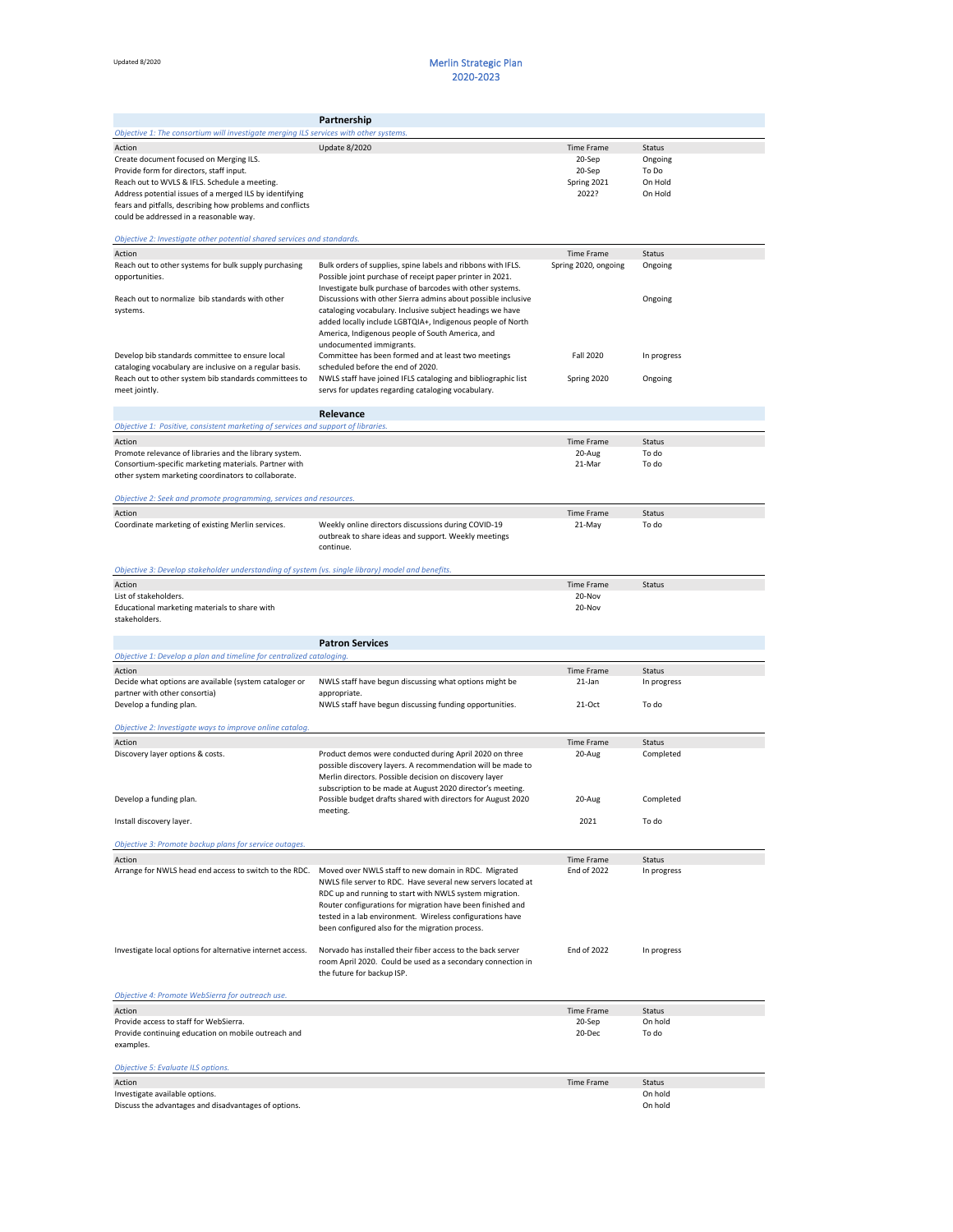## Updated 8/2020 **Merlin Strategic Plan** 2020-2023

|                                                                                                                  | Partnership                                                                                                             |                             |                              |
|------------------------------------------------------------------------------------------------------------------|-------------------------------------------------------------------------------------------------------------------------|-----------------------------|------------------------------|
| Objective 1: The consortium will investigate merging ILS services with other systems.                            |                                                                                                                         |                             |                              |
| Action                                                                                                           | <b>Update 8/2020</b>                                                                                                    | Time Frame                  | <b>Status</b>                |
| Create document focused on Merging ILS.                                                                          |                                                                                                                         | 20-Sep                      | Ongoing                      |
| Provide form for directors, staff input.<br>Reach out to WVLS & IFLS. Schedule a meeting.                        |                                                                                                                         | 20-Sep<br>Spring 2021       | To Do<br>On Hold             |
| Address potential issues of a merged ILS by identifying                                                          |                                                                                                                         | 2022?                       | On Hold                      |
| fears and pitfalls, describing how problems and conflicts                                                        |                                                                                                                         |                             |                              |
| could be addressed in a reasonable way.                                                                          |                                                                                                                         |                             |                              |
| Objective 2: Investigate other potential shared services and standards.                                          |                                                                                                                         |                             |                              |
| Action                                                                                                           |                                                                                                                         | Time Frame                  | <b>Status</b>                |
| Reach out to other systems for bulk supply purchasing                                                            | Bulk orders of supplies, spine labels and ribbons with IFLS.                                                            | Spring 2020, ongoing        | Ongoing                      |
| opportunities.                                                                                                   | Possible joint purchase of receipt paper printer in 2021.                                                               |                             |                              |
|                                                                                                                  | Investigate bulk purchase of barcodes with other systems.                                                               |                             |                              |
| Reach out to normalize bib standards with other                                                                  | Discussions with other Sierra admins about possible inclusive                                                           |                             | Ongoing                      |
| systems.                                                                                                         | cataloging vocabulary. Inclusive subject headings we have<br>added locally include LGBTQIA+, Indigenous people of North |                             |                              |
|                                                                                                                  | America, Indigenous people of South America, and                                                                        |                             |                              |
|                                                                                                                  | undocumented immigrants.                                                                                                |                             |                              |
| Develop bib standards committee to ensure local                                                                  | Committee has been formed and at least two meetings                                                                     | Fall 2020                   | In progress                  |
| cataloging vocabulary are inclusive on a regular basis.<br>Reach out to other system bib standards committees to | scheduled before the end of 2020.<br>NWLS staff have joined IFLS cataloging and bibliographic list                      | Spring 2020                 | Ongoing                      |
| meet jointly.                                                                                                    | servs for updates regarding cataloging vocabulary.                                                                      |                             |                              |
|                                                                                                                  |                                                                                                                         |                             |                              |
|                                                                                                                  | Relevance                                                                                                               |                             |                              |
| Objective 1: Positive, consistent marketing of services and support of libraries.                                |                                                                                                                         |                             |                              |
| Action<br>Promote relevance of libraries and the library system.                                                 |                                                                                                                         | <b>Time Frame</b><br>20-Aug | <b>Status</b><br>To do       |
| Consortium-specific marketing materials. Partner with                                                            |                                                                                                                         | 21-Mar                      | To do                        |
| other system marketing coordinators to collaborate.                                                              |                                                                                                                         |                             |                              |
|                                                                                                                  |                                                                                                                         |                             |                              |
| Objective 2: Seek and promote programming, services and resources.                                               |                                                                                                                         |                             |                              |
| Action                                                                                                           |                                                                                                                         | <b>Time Frame</b>           | <b>Status</b>                |
| Coordinate marketing of existing Merlin services.                                                                | Weekly online directors discussions during COVID-19<br>outbreak to share ideas and support. Weekly meetings             | 21-May                      | To do                        |
|                                                                                                                  | continue.                                                                                                               |                             |                              |
|                                                                                                                  |                                                                                                                         |                             |                              |
| Objective 3: Develop stakeholder understanding of system (vs. single library) model and benefits.                |                                                                                                                         |                             |                              |
| Action                                                                                                           |                                                                                                                         | <b>Time Frame</b>           | <b>Status</b>                |
| List of stakeholders.<br>Educational marketing materials to share with                                           |                                                                                                                         | 20-Nov<br>20-Nov            |                              |
| stakeholders.                                                                                                    |                                                                                                                         |                             |                              |
|                                                                                                                  |                                                                                                                         |                             |                              |
|                                                                                                                  | <b>Patron Services</b>                                                                                                  |                             |                              |
| Objective 1: Develop a plan and timeline for centralized cataloging.                                             |                                                                                                                         |                             |                              |
| Action<br>Decide what options are available (system cataloger or                                                 | NWLS staff have begun discussing what options might be                                                                  | Time Frame<br>21-Jan        | <b>Status</b><br>In progress |
| partner with other consortia)                                                                                    | appropriate.                                                                                                            |                             |                              |
| Develop a funding plan.                                                                                          | NWLS staff have begun discussing funding opportunities.                                                                 | 21-Oct                      | To do                        |
|                                                                                                                  |                                                                                                                         |                             |                              |
| Objective 2: Investigate ways to improve online catalog.                                                         |                                                                                                                         |                             |                              |
| Action                                                                                                           |                                                                                                                         | Time Frame                  | <b>Status</b>                |
| Discovery layer options & costs.                                                                                 | Product demos were conducted during April 2020 on three<br>possible discovery layers. A recommendation will be made to  | 20-Aug                      | Completed                    |
|                                                                                                                  | Merlin directors. Possible decision on discovery layer                                                                  |                             |                              |
|                                                                                                                  | subscription to be made at August 2020 director's meeting.                                                              |                             |                              |
| Develop a funding plan.                                                                                          | Possible budget drafts shared with directors for August 2020                                                            | 20-Aug                      | Completed                    |
| Install discovery layer.                                                                                         | meeting.                                                                                                                | 2021                        | To do                        |
|                                                                                                                  |                                                                                                                         |                             |                              |
| Objective 3: Promote backup plans for service outages.                                                           |                                                                                                                         |                             |                              |
| Action                                                                                                           |                                                                                                                         | Time Frame                  | <b>Status</b>                |
| Arrange for NWLS head end access to switch to the RDC.                                                           | Moved over NWLS staff to new domain in RDC. Migrated<br>NWLS file server to RDC. Have several new servers located at    | <b>End of 2022</b>          | In progress                  |
|                                                                                                                  | RDC up and running to start with NWLS system migration.                                                                 |                             |                              |
|                                                                                                                  | Router configurations for migration have been finished and                                                              |                             |                              |
|                                                                                                                  | tested in a lab environment. Wireless configurations have                                                               |                             |                              |
|                                                                                                                  | been configured also for the migration process.                                                                         |                             |                              |
| Investigate local options for alternative internet access.                                                       | Norvado has installed their fiber access to the back server                                                             | <b>End of 2022</b>          | In progress                  |
|                                                                                                                  | room April 2020. Could be used as a secondary connection in                                                             |                             |                              |
|                                                                                                                  | the future for backup ISP.                                                                                              |                             |                              |
| Objective 4: Promote WebSierra for outreach use.                                                                 |                                                                                                                         |                             |                              |
| Action                                                                                                           |                                                                                                                         | Time Frame                  | <b>Status</b>                |
| Provide access to staff for WebSierra.                                                                           |                                                                                                                         | 20-Sep                      | On hold                      |
| Provide continuing education on mobile outreach and                                                              |                                                                                                                         | 20-Dec                      | To do                        |
| examples.                                                                                                        |                                                                                                                         |                             |                              |
| Objective 5: Evaluate ILS options.                                                                               |                                                                                                                         |                             |                              |
| Action                                                                                                           |                                                                                                                         | Time Frame                  | <b>Status</b>                |
| Investigate available options.                                                                                   |                                                                                                                         |                             | On hold                      |
| Discuss the advantages and disadvantages of options.                                                             |                                                                                                                         |                             | On hold                      |
|                                                                                                                  |                                                                                                                         |                             |                              |